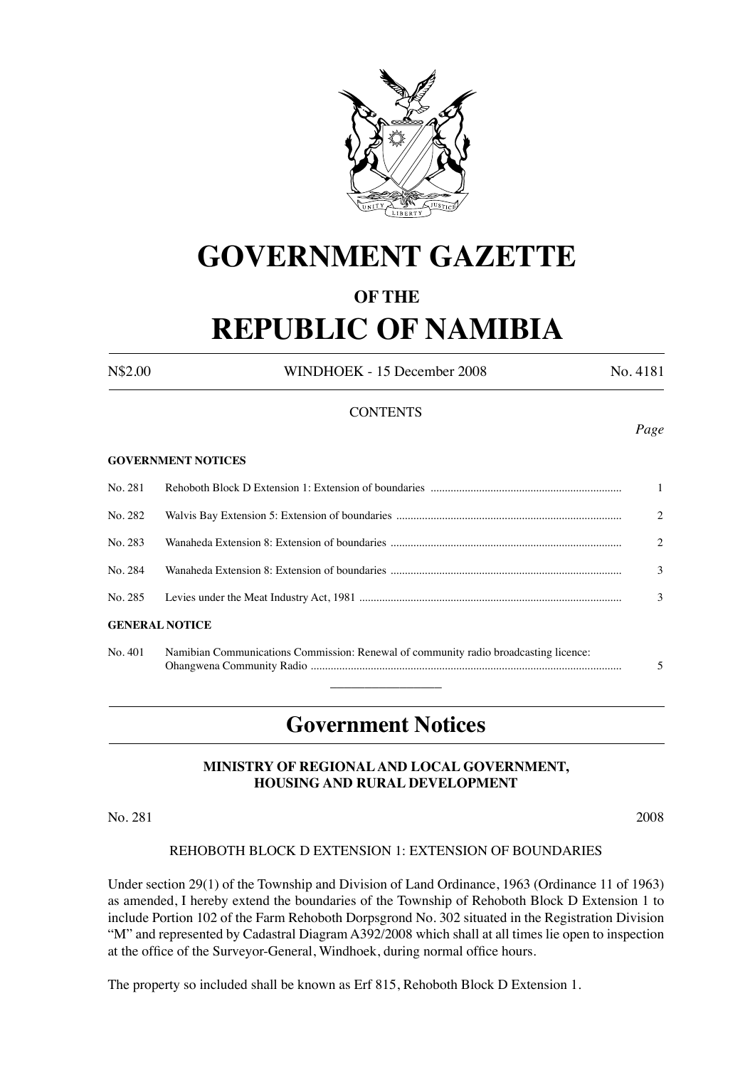

# **GOVERNMENT GAZETTE**

### **OF THE**

# **REPUBLIC OF NAMIBIA**

N\$2.00 WINDHOEK - 15 December 2008 No. 4181

#### **CONTENTS**

#### **GOVERNMENT NOTICES**

|                       |  | $\mathbf{1}$   |  |  |  |  |
|-----------------------|--|----------------|--|--|--|--|
| No. 282               |  | $\mathfrak{D}$ |  |  |  |  |
| No. 283               |  | $\mathcal{L}$  |  |  |  |  |
| No. 284               |  | 3              |  |  |  |  |
|                       |  | 3              |  |  |  |  |
| <b>GENERAL NOTICE</b> |  |                |  |  |  |  |

| No. 401 | Namibian Communications Commission: Renewal of community radio broadcasting licence: |  |
|---------|--------------------------------------------------------------------------------------|--|
|         |                                                                                      |  |
|         |                                                                                      |  |

### **Government Notices**

#### **MINISTRY OF REGIONAL AND LOCAL GOVERNMENT, HOUSING AND RURAL DEVELOPMENT**

No. 281 2008

#### REHOBOTH BLOCK D EXTENSION 1: EXTENSION OF BOUNDARIES

Under section 29(1) of the Township and Division of Land Ordinance, 1963 (Ordinance 11 of 1963) as amended, I hereby extend the boundaries of the Township of Rehoboth Block D Extension 1 to include Portion 102 of the Farm Rehoboth Dorpsgrond No. 302 situated in the Registration Division "M" and represented by Cadastral Diagram A392/2008 which shall at all times lie open to inspection at the office of the Surveyor-General, Windhoek, during normal office hours.

The property so included shall be known as Erf 815, Rehoboth Block D Extension 1.

*Page*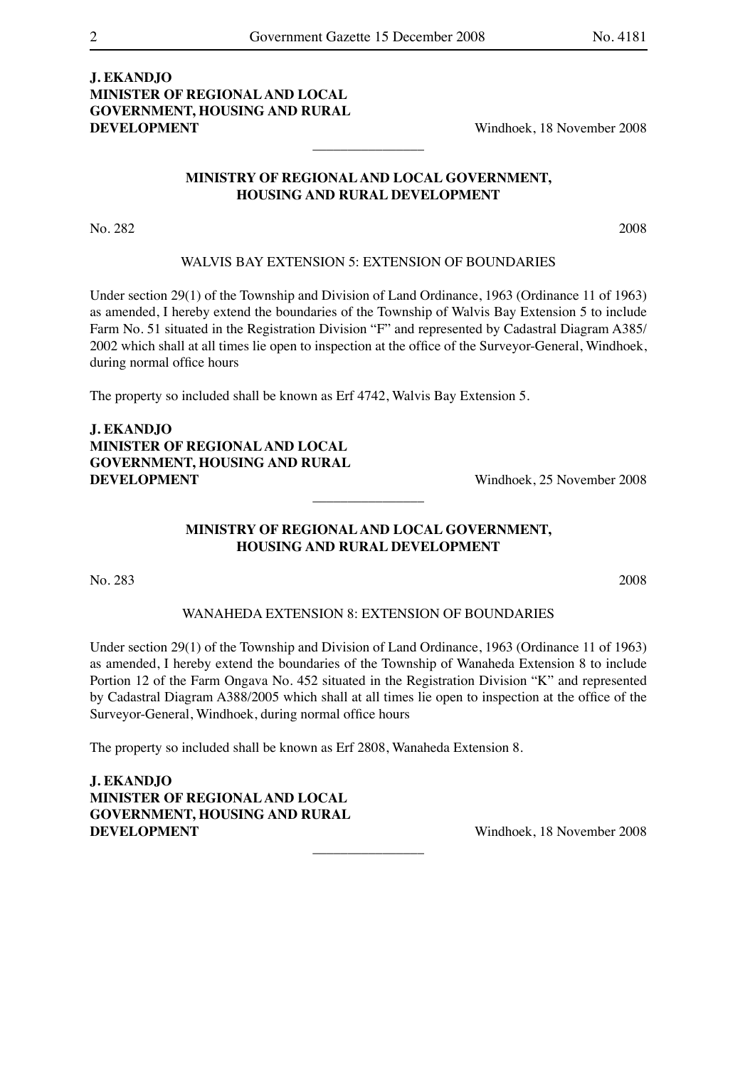#### **J. EKANDJO MINISTER OF REGIONAL AND LOCAL GOVERNMENT, HOUSING AND RURAL DEVELOPMENT** Windhoek, 18 November 2008

#### **MINISTRY OF REGIONAL AND LOCAL GOVERNMENT, HOUSING AND RURAL DEVELOPMENT**

 $\overline{\phantom{a}}$  , where  $\overline{\phantom{a}}$ 

No. 282 2008

#### WALVIS BAY EXTENSION 5: EXTENSION OF BOUNDARIES

Under section 29(1) of the Township and Division of Land Ordinance, 1963 (Ordinance 11 of 1963) as amended, I hereby extend the boundaries of the Township of Walvis Bay Extension 5 to include Farm No. 51 situated in the Registration Division "F" and represented by Cadastral Diagram A385/ 2002 which shall at all times lie open to inspection at the office of the Surveyor-General, Windhoek, during normal office hours

The property so included shall be known as Erf 4742, Walvis Bay Extension 5.

**J. EKANDJO MINISTER OF REGIONAL AND LOCAL GOVERNMENT, HOUSING AND RURAL DEVELOPMENT** Windhoek, 25 November 2008

#### **MINISTRY OF REGIONAL AND LOCAL GOVERNMENT, HOUSING AND RURAL DEVELOPMENT**

 $\overline{\phantom{a}}$  , where  $\overline{\phantom{a}}$ 

No. 283 2008

#### WANAHEDA EXTENSION 8: EXTENSION OF BOUNDARIES

Under section 29(1) of the Township and Division of Land Ordinance, 1963 (Ordinance 11 of 1963) as amended, I hereby extend the boundaries of the Township of Wanaheda Extension 8 to include Portion 12 of the Farm Ongava No. 452 situated in the Registration Division "K" and represented by Cadastral Diagram A388/2005 which shall at all times lie open to inspection at the office of the Surveyor-General, Windhoek, during normal office hours

 $\overline{\phantom{a}}$  , where  $\overline{\phantom{a}}$ 

The property so included shall be known as Erf 2808, Wanaheda Extension 8.

**J. EKANDJO MINISTER OF REGIONAL AND LOCAL GOVERNMENT, HOUSING AND RURAL DEVELOPMENT** Windhoek, 18 November 2008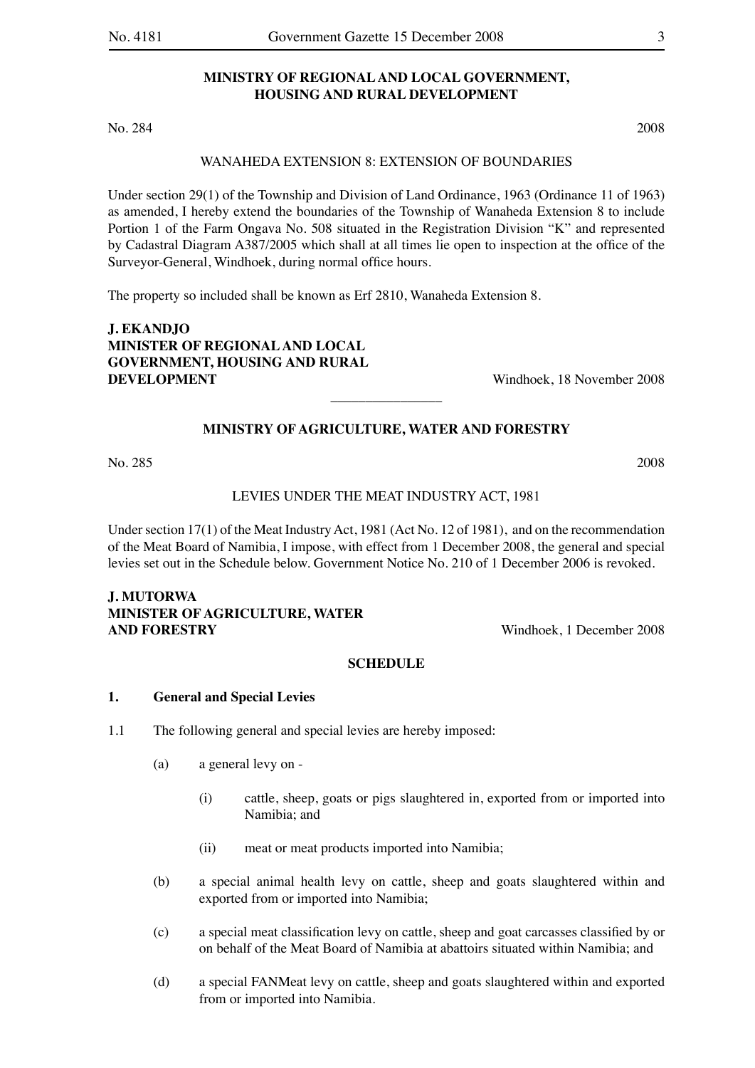#### **MINISTRY OF REGIONAL AND LOCAL GOVERNMENT, HOUSING AND RURAL DEVELOPMENT**

No. 284 2008

#### WANAHEDA EXTENSION 8: EXTENSION OF BOUNDARIES

Under section 29(1) of the Township and Division of Land Ordinance, 1963 (Ordinance 11 of 1963) as amended, I hereby extend the boundaries of the Township of Wanaheda Extension 8 to include Portion 1 of the Farm Ongava No. 508 situated in the Registration Division "K" and represented by Cadastral Diagram A387/2005 which shall at all times lie open to inspection at the office of the Surveyor-General, Windhoek, during normal office hours.

The property so included shall be known as Erf 2810, Wanaheda Extension 8.

**J. EKANDJO MINISTER OF REGIONAL AND LOCAL GOVERNMENT, HOUSING AND RURAL DEVELOPMENT** Windhoek, 18 November 2008

#### **MINISTRY OF AGRICULTURE, WATER AND FORESTRY**

 $\overline{\phantom{a}}$  , where  $\overline{\phantom{a}}$ 

No. 285 2008

LEVIES UNDER THE MEAT INDUSTRY ACT, 1981

Under section 17(1) of the Meat Industry Act, 1981 (Act No. 12 of 1981), and on the recommendation of the Meat Board of Namibia, I impose, with effect from 1 December 2008, the general and special levies set out in the Schedule below. Government Notice No. 210 of 1 December 2006 is revoked.

#### **J. MUTORWA MINISTER OF AGRICULTURE, WATER AND FORESTRY** Windhoek, 1 December 2008

#### **SCHEDULE**

#### **1. General and Special Levies**

- 1.1 The following general and special levies are hereby imposed:
	- (a) a general levy on
		- (i) cattle, sheep, goats or pigs slaughtered in, exported from or imported into Namibia; and
		- (ii) meat or meat products imported into Namibia;
	- (b) a special animal health levy on cattle, sheep and goats slaughtered within and exported from or imported into Namibia;
	- (c) a special meat classification levy on cattle, sheep and goat carcasses classified by or on behalf of the Meat Board of Namibia at abattoirs situated within Namibia; and
	- (d) a special FANMeat levy on cattle, sheep and goats slaughtered within and exported from or imported into Namibia.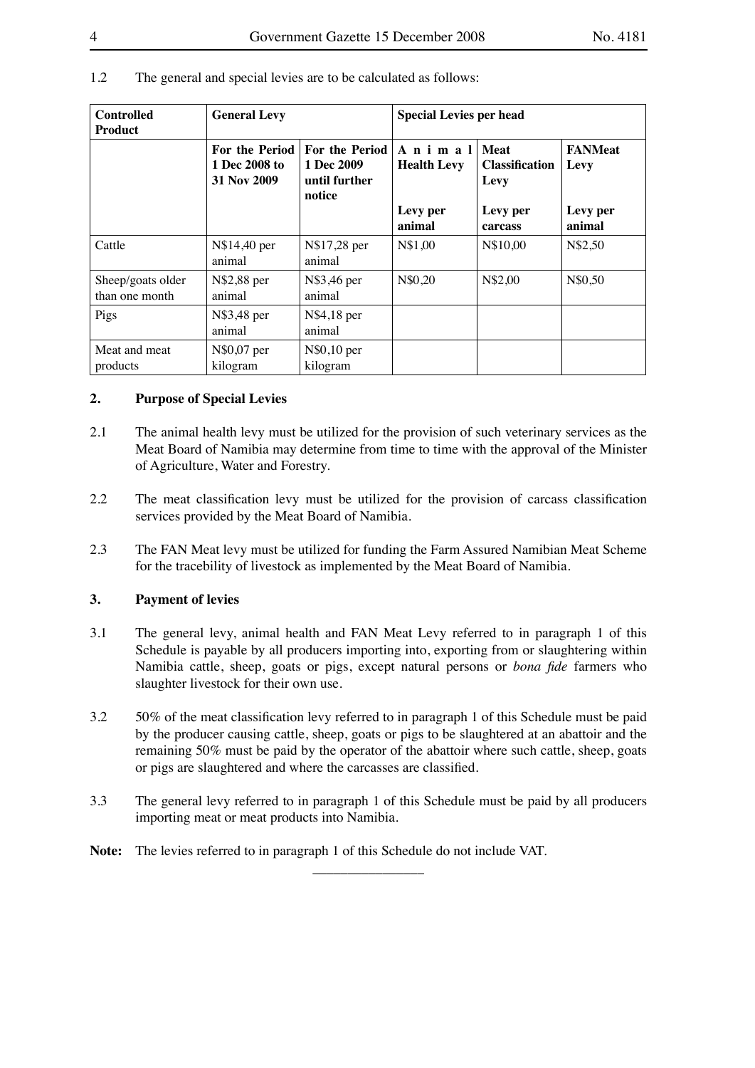| <b>Controlled</b><br><b>Product</b> | <b>General Levy</b>                                   |                                                                | <b>Special Levies per head</b> |                                              |                        |
|-------------------------------------|-------------------------------------------------------|----------------------------------------------------------------|--------------------------------|----------------------------------------------|------------------------|
|                                     | <b>For the Period</b><br>1 Dec 2008 to<br>31 Nov 2009 | <b>For the Period</b><br>1 Dec 2009<br>until further<br>notice | Animal<br><b>Health Levy</b>   | <b>Meat</b><br><b>Classification</b><br>Levy | <b>FANMeat</b><br>Levy |
|                                     |                                                       |                                                                | Levy per<br>animal             | Levy per<br>carcass                          | Levy per<br>animal     |
| Cattle                              | N\$14,40 per<br>animal                                | N\$17,28 per<br>animal                                         | N\$1,00                        | N\$10,00                                     | N\$2,50                |
| Sheep/goats older<br>than one month | N\$2,88 per<br>animal                                 | N\$3,46 per<br>animal                                          | N\$0,20                        | N\$2,00                                      | N\$0,50                |
| Pigs                                | N\$3,48 per<br>animal                                 | N\$4,18 per<br>animal                                          |                                |                                              |                        |
| Meat and meat<br>products           | N\$0,07 per<br>kilogram                               | N\$0,10 per<br>kilogram                                        |                                |                                              |                        |

#### 1.2 The general and special levies are to be calculated as follows:

#### **2. Purpose of Special Levies**

- 2.1 The animal health levy must be utilized for the provision of such veterinary services as the Meat Board of Namibia may determine from time to time with the approval of the Minister of Agriculture, Water and Forestry.
- 2.2 The meat classification levy must be utilized for the provision of carcass classification services provided by the Meat Board of Namibia.
- 2.3 The FAN Meat levy must be utilized for funding the Farm Assured Namibian Meat Scheme for the tracebility of livestock as implemented by the Meat Board of Namibia.

#### **3. Payment of levies**

- 3.1 The general levy, animal health and FAN Meat Levy referred to in paragraph 1 of this Schedule is payable by all producers importing into, exporting from or slaughtering within Namibia cattle, sheep, goats or pigs, except natural persons or *bona fide* farmers who slaughter livestock for their own use.
- 3.2 50% of the meat classification levy referred to in paragraph 1 of this Schedule must be paid by the producer causing cattle, sheep, goats or pigs to be slaughtered at an abattoir and the remaining 50% must be paid by the operator of the abattoir where such cattle, sheep, goats or pigs are slaughtered and where the carcasses are classified.
- 3.3 The general levy referred to in paragraph 1 of this Schedule must be paid by all producers importing meat or meat products into Namibia.

 $\overline{\phantom{a}}$  , where  $\overline{\phantom{a}}$ 

**Note:** The levies referred to in paragraph 1 of this Schedule do not include VAT.